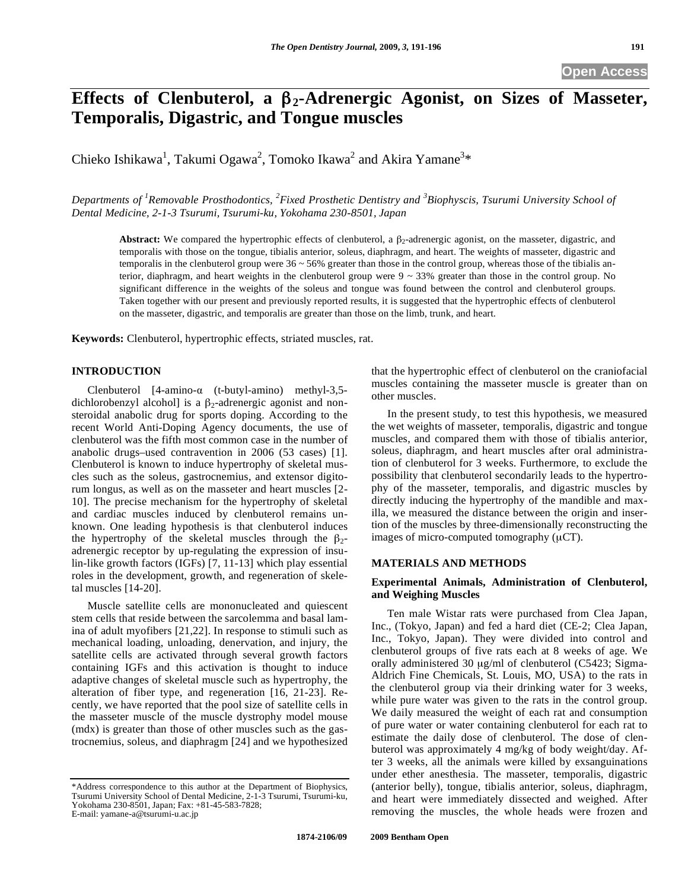# **Effects of Clenbuterol, a 2-Adrenergic Agonist, on Sizes of Masseter, Temporalis, Digastric, and Tongue muscles**

Chieko Ishikawa<sup>1</sup>, Takumi Ogawa<sup>2</sup>, Tomoko Ikawa<sup>2</sup> and Akira Yamane<sup>3</sup>\*

*Departments of <sup>1</sup> Removable Prosthodontics, <sup>2</sup> Fixed Prosthetic Dentistry and <sup>3</sup> Biophyscis, Tsurumi University School of Dental Medicine, 2-1-3 Tsurumi, Tsurumi-ku, Yokohama 230-8501, Japan* 

**Abstract:** We compared the hypertrophic effects of clenbuterol, a  $\beta_2$ -adrenergic agonist, on the masseter, digastric, and temporalis with those on the tongue, tibialis anterior, soleus, diaphragm, and heart. The weights of masseter, digastric and temporalis in the clenbuterol group were  $36 \sim 56\%$  greater than those in the control group, whereas those of the tibialis anterior, diaphragm, and heart weights in the clenbuterol group were  $9 \sim 33\%$  greater than those in the control group. No significant difference in the weights of the soleus and tongue was found between the control and clenbuterol groups. Taken together with our present and previously reported results, it is suggested that the hypertrophic effects of clenbuterol on the masseter, digastric, and temporalis are greater than those on the limb, trunk, and heart.

**Keywords:** Clenbuterol, hypertrophic effects, striated muscles, rat.

# **INTRODUCTION**

Clenbuterol  $[4\text{-amino-}\alpha$  (t-butyl-amino) methyl-3,5dichlorobenzyl alcohol] is a  $\beta_2$ -adrenergic agonist and nonsteroidal anabolic drug for sports doping. According to the recent World Anti-Doping Agency documents, the use of clenbuterol was the fifth most common case in the number of anabolic drugs–used contravention in 2006 (53 cases) [1]. Clenbuterol is known to induce hypertrophy of skeletal muscles such as the soleus, gastrocnemius, and extensor digitorum longus, as well as on the masseter and heart muscles [2- 10]. The precise mechanism for the hypertrophy of skeletal and cardiac muscles induced by clenbuterol remains unknown. One leading hypothesis is that clenbuterol induces the hypertrophy of the skeletal muscles through the  $\beta_2$ adrenergic receptor by up-regulating the expression of insulin-like growth factors (IGFs) [7, 11-13] which play essential roles in the development, growth, and regeneration of skeletal muscles [14-20].

Muscle satellite cells are mononucleated and quiescent stem cells that reside between the sarcolemma and basal lamina of adult myofibers [21,22]. In response to stimuli such as mechanical loading, unloading, denervation, and injury, the satellite cells are activated through several growth factors containing IGFs and this activation is thought to induce adaptive changes of skeletal muscle such as hypertrophy, the alteration of fiber type, and regeneration [16, 21-23]. Recently, we have reported that the pool size of satellite cells in the masseter muscle of the muscle dystrophy model mouse (mdx) is greater than those of other muscles such as the gastrocnemius, soleus, and diaphragm [24] and we hypothesized

that the hypertrophic effect of clenbuterol on the craniofacial muscles containing the masseter muscle is greater than on other muscles.

In the present study, to test this hypothesis, we measured the wet weights of masseter, temporalis, digastric and tongue muscles, and compared them with those of tibialis anterior, soleus, diaphragm, and heart muscles after oral administration of clenbuterol for 3 weeks. Furthermore, to exclude the possibility that clenbuterol secondarily leads to the hypertrophy of the masseter, temporalis, and digastric muscles by directly inducing the hypertrophy of the mandible and maxilla, we measured the distance between the origin and insertion of the muscles by three-dimensionally reconstructing the images of micro-computed tomography (μCT).

# **MATERIALS AND METHODS**

### **Experimental Animals, Administration of Clenbuterol, and Weighing Muscles**

Ten male Wistar rats were purchased from Clea Japan, Inc., (Tokyo, Japan) and fed a hard diet (CE-2; Clea Japan, Inc., Tokyo, Japan). They were divided into control and clenbuterol groups of five rats each at 8 weeks of age. We orally administered 30 μg/ml of clenbuterol (C5423; Sigma-Aldrich Fine Chemicals, St. Louis, MO, USA) to the rats in the clenbuterol group via their drinking water for 3 weeks, while pure water was given to the rats in the control group. We daily measured the weight of each rat and consumption of pure water or water containing clenbuterol for each rat to estimate the daily dose of clenbuterol. The dose of clenbuterol was approximately 4 mg/kg of body weight/day. After 3 weeks, all the animals were killed by exsanguinations under ether anesthesia. The masseter, temporalis, digastric (anterior belly), tongue, tibialis anterior, soleus, diaphragm, and heart were immediately dissected and weighed. After removing the muscles, the whole heads were frozen and

<sup>\*</sup>Address correspondence to this author at the Department of Biophysics, Tsurumi University School of Dental Medicine, 2-1-3 Tsurumi, Tsurumi-ku, Yokohama 230-8501, Japan; Fax: +81-45-583-7828; E-mail: yamane-a@tsurumi-u.ac.jp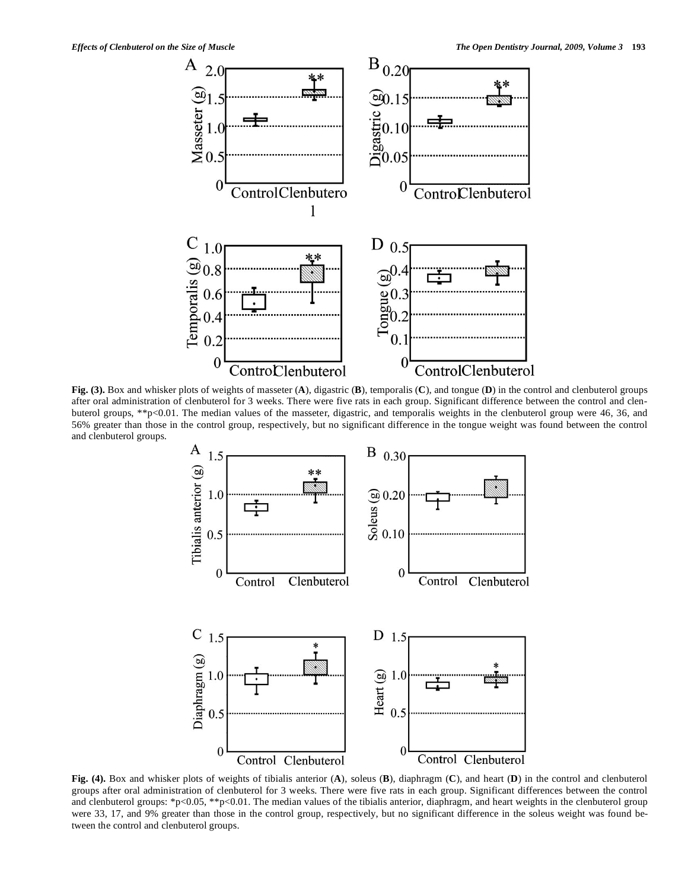

**Fig. (3).** Box and whisker plots of weights of masseter (**A**), digastric (**B**), temporalis (**C**), and tongue (**D**) in the control and clenbuterol groups after oral administration of clenbuterol for 3 weeks. There were five rats in each group. Significant difference between the control and clenbuterol groups, \*\*p<0.01. The median values of the masseter, digastric, and temporalis weights in the clenbuterol group were 46, 36, and 56% greater than those in the control group, respectively, but no significant difference in the tongue weight was found between the control and clenbuterol groups.



**Fig. (4).** Box and whisker plots of weights of tibialis anterior (**A**), soleus (**B**), diaphragm (**C**), and heart (**D**) in the control and clenbuterol groups after oral administration of clenbuterol for 3 weeks. There were five rats in each group. Significant differences between the control and clenbuterol groups: \*p<0.05, \*\*p<0.01. The median values of the tibialis anterior, diaphragm, and heart weights in the clenbuterol group were 33, 17, and 9% greater than those in the control group, respectively, but no significant difference in the soleus weight was found between the control and clenbuterol groups.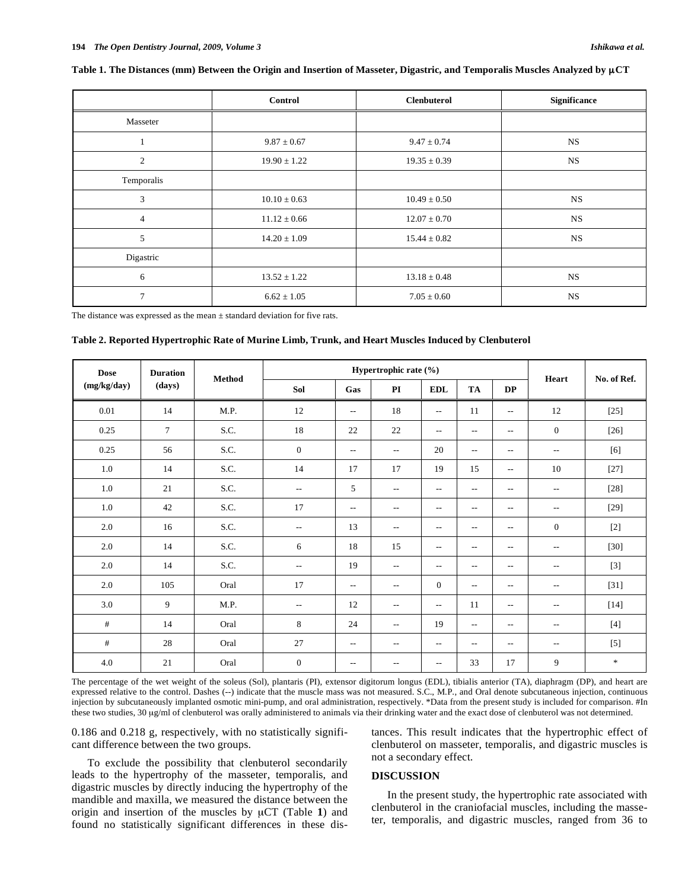|                | Control          | <b>Clenbuterol</b> | <b>Significance</b> |  |  |
|----------------|------------------|--------------------|---------------------|--|--|
| Masseter       |                  |                    |                     |  |  |
|                | $9.87 \pm 0.67$  | $9.47 \pm 0.74$    | <b>NS</b>           |  |  |
| $\overline{c}$ | $19.90 \pm 1.22$ | $19.35 \pm 0.39$   | <b>NS</b>           |  |  |
| Temporalis     |                  |                    |                     |  |  |
| 3              | $10.10 \pm 0.63$ | $10.49 \pm 0.50$   | <b>NS</b>           |  |  |
| $\overline{4}$ | $11.12 \pm 0.66$ | $12.07 \pm 0.70$   | <b>NS</b>           |  |  |
| 5              | $14.20 \pm 1.09$ | $15.44 \pm 0.82$   | <b>NS</b>           |  |  |
| Digastric      |                  |                    |                     |  |  |
| 6              | $13.52 \pm 1.22$ | $13.18 \pm 0.48$   | <b>NS</b>           |  |  |
| 7              | $6.62 \pm 1.05$  | $7.05 \pm 0.60$    | <b>NS</b>           |  |  |

#### **Table 1. The Distances (mm) Between the Origin and Insertion of Masseter, Digastric, and Temporalis Muscles Analyzed by** μ**CT**

The distance was expressed as the mean  $\pm$  standard deviation for five rats.

#### **Table 2. Reported Hypertrophic Rate of Murine Limb, Trunk, and Heart Muscles Induced by Clenbuterol**

| <b>Dose</b><br>(mg/kg/day) | <b>Duration</b> | Method | Hypertrophic rate (%)    |                          |                          |                          |                          |                          |                          |                                                                                                                                                                                                                                                                                                                                                                                                                                                                                                                                                                                                                                                                                                                                                                                                                                                                                                                      |
|----------------------------|-----------------|--------|--------------------------|--------------------------|--------------------------|--------------------------|--------------------------|--------------------------|--------------------------|----------------------------------------------------------------------------------------------------------------------------------------------------------------------------------------------------------------------------------------------------------------------------------------------------------------------------------------------------------------------------------------------------------------------------------------------------------------------------------------------------------------------------------------------------------------------------------------------------------------------------------------------------------------------------------------------------------------------------------------------------------------------------------------------------------------------------------------------------------------------------------------------------------------------|
|                            | (days)          |        | Sol                      | Gas                      | PI                       | <b>EDL</b>               | TA                       | <b>DP</b>                | Heart                    | No. of Ref.                                                                                                                                                                                                                                                                                                                                                                                                                                                                                                                                                                                                                                                                                                                                                                                                                                                                                                          |
| 0.01                       | 14              | M.P.   | 12                       | $\overline{\phantom{a}}$ | 18                       | $\sim$ $\sim$            | 11                       | $\overline{\phantom{a}}$ | 12                       | $[25]$                                                                                                                                                                                                                                                                                                                                                                                                                                                                                                                                                                                                                                                                                                                                                                                                                                                                                                               |
| 0.25                       | $\overline{7}$  | S.C.   | 18                       | 22                       | 22                       | $\overline{\phantom{a}}$ | $\overline{\phantom{m}}$ | $ -$                     | $\boldsymbol{0}$         | $[26]$                                                                                                                                                                                                                                                                                                                                                                                                                                                                                                                                                                                                                                                                                                                                                                                                                                                                                                               |
| 0.25                       | 56              | S.C.   | $\theta$                 | $\overline{\phantom{a}}$ | $\overline{\phantom{a}}$ | 20                       | $\overline{\phantom{a}}$ | $ -$                     | $- -$                    | $[6] \centering% \includegraphics[width=1.0\textwidth]{figs/fig_4.pdf} \caption{Schematic plot of the density $z$ for the $z$-axis. The solid lines represent the energy $\alpha$ values for the $z$-axis. The solid lines represent the energy $\alpha$ values for the $z$-axis. The solid lines represent the energy $\alpha$ values for the $z$-axis.} \label{fig:1}$                                                                                                                                                                                                                                                                                                                                                                                                                                                                                                                                             |
| 1.0                        | 14              | S.C.   | 14                       | 17                       | 17                       | 19                       | 15                       | $\overline{\phantom{a}}$ | 10                       | $[27]$                                                                                                                                                                                                                                                                                                                                                                                                                                                                                                                                                                                                                                                                                                                                                                                                                                                                                                               |
| 1.0                        | 21              | S.C.   | $\sim$ $\sim$            | 5                        | $\overline{\phantom{m}}$ | $\overline{\phantom{a}}$ | $\overline{\phantom{a}}$ | $ -$                     | $\overline{\phantom{m}}$ | $[28]$                                                                                                                                                                                                                                                                                                                                                                                                                                                                                                                                                                                                                                                                                                                                                                                                                                                                                                               |
| 1.0                        | 42              | S.C.   | 17                       | $\overline{\phantom{a}}$ | $\overline{\phantom{a}}$ | $\overline{\phantom{a}}$ | $\overline{\phantom{a}}$ | $- -$                    | $- -$                    | $[29]$                                                                                                                                                                                                                                                                                                                                                                                                                                                                                                                                                                                                                                                                                                                                                                                                                                                                                                               |
| 2.0                        | 16              | S.C.   | $\overline{\phantom{m}}$ | 13                       | $\overline{\phantom{m}}$ | $\overline{\phantom{a}}$ | $\overline{\phantom{m}}$ | $\overline{\phantom{m}}$ | $\overline{0}$           | $[2]$                                                                                                                                                                                                                                                                                                                                                                                                                                                                                                                                                                                                                                                                                                                                                                                                                                                                                                                |
| 2.0                        | 14              | S.C.   | 6                        | 18                       | 15                       | $\overline{\phantom{a}}$ | $\overline{\phantom{a}}$ | $\overline{a}$           | $\overline{\phantom{a}}$ | $[30]$                                                                                                                                                                                                                                                                                                                                                                                                                                                                                                                                                                                                                                                                                                                                                                                                                                                                                                               |
| 2.0                        | 14              | S.C.   | $\overline{\phantom{a}}$ | 19                       | $\overline{\phantom{m}}$ | $\overline{\phantom{a}}$ | $\overline{\phantom{a}}$ | $\overline{a}$           | $\overline{\phantom{m}}$ | $[3]$                                                                                                                                                                                                                                                                                                                                                                                                                                                                                                                                                                                                                                                                                                                                                                                                                                                                                                                |
| 2.0                        | 105             | Oral   | 17                       | $\overline{\phantom{m}}$ | $\overline{\phantom{m}}$ | $\mathbf{0}$             | $\overline{\phantom{a}}$ | $\overline{\phantom{a}}$ | $\overline{\phantom{a}}$ | $[31]$                                                                                                                                                                                                                                                                                                                                                                                                                                                                                                                                                                                                                                                                                                                                                                                                                                                                                                               |
| 3.0                        | 9               | M.P.   | $\sim$                   | 12                       | $\overline{\phantom{a}}$ | $\sim$ $\sim$            | 11                       | $- -$                    | $- -$                    | $[14]$                                                                                                                                                                                                                                                                                                                                                                                                                                                                                                                                                                                                                                                                                                                                                                                                                                                                                                               |
| $\#$                       | 14              | Oral   | 8                        | 24                       | $\overline{\phantom{m}}$ | 19                       | $\overline{\phantom{m}}$ | $\overline{\phantom{m}}$ | $\overline{\phantom{m}}$ | $[4] \centering% \includegraphics[width=1\textwidth]{images/TransY.pdf} \caption{The first two different values of $y$ and $y$ (left) and $y$ (right) are the same as a function of $y$. The first two different values of $y$. The first two different values of $y$. The first two different values of $y$. The first two different values of $y$. The first two different values of $y$. The first two different values of $y$. The first two different values of $y$. The first two different values of $y$. The first two different values of $y$. The first two different values of $y$. The first two different values of $y$. The first two different values of $y$. The first two different values of $y$. The first two different values of $y$. The first two different values of $y$. The first two different values of $y$. The first two different values of $y$. The first two different values of $$ |
| $\#$                       | 28              | Oral   | 27                       | $\overline{\phantom{a}}$ | $\overline{\phantom{m}}$ | $\sim$                   | $\overline{\phantom{a}}$ | $\overline{a}$           | $- -$                    | $[5]$                                                                                                                                                                                                                                                                                                                                                                                                                                                                                                                                                                                                                                                                                                                                                                                                                                                                                                                |
| 4.0                        | 21              | Oral   | $\mathbf{0}$             | $\overline{\phantom{m}}$ | $\overline{\phantom{a}}$ | $\overline{\phantom{a}}$ | 33                       | 17                       | 9                        | $\frac{d\mathbf{x}}{d\mathbf{x}}$                                                                                                                                                                                                                                                                                                                                                                                                                                                                                                                                                                                                                                                                                                                                                                                                                                                                                    |

The percentage of the wet weight of the soleus (Sol), plantaris (PI), extensor digitorum longus (EDL), tibialis anterior (TA), diaphragm (DP), and heart are expressed relative to the control. Dashes (--) indicate that the muscle mass was not measured. S.C., M.P., and Oral denote subcutaneous injection, continuous injection by subcutaneously implanted osmotic mini-pump, and oral administration, respectively. \*Data from the present study is included for comparison. #In these two studies, 30 μg/ml of clenbuterol was orally administered to animals via their drinking water and the exact dose of clenbuterol was not determined.

0.186 and 0.218 g, respectively, with no statistically significant difference between the two groups.

To exclude the possibility that clenbuterol secondarily leads to the hypertrophy of the masseter, temporalis, and digastric muscles by directly inducing the hypertrophy of the mandible and maxilla, we measured the distance between the origin and insertion of the muscles by μCT (Table **1**) and found no statistically significant differences in these dis-

tances. This result indicates that the hypertrophic effect of clenbuterol on masseter, temporalis, and digastric muscles is not a secondary effect.

#### **DISCUSSION**

In the present study, the hypertrophic rate associated with clenbuterol in the craniofacial muscles, including the masseter, temporalis, and digastric muscles, ranged from 36 to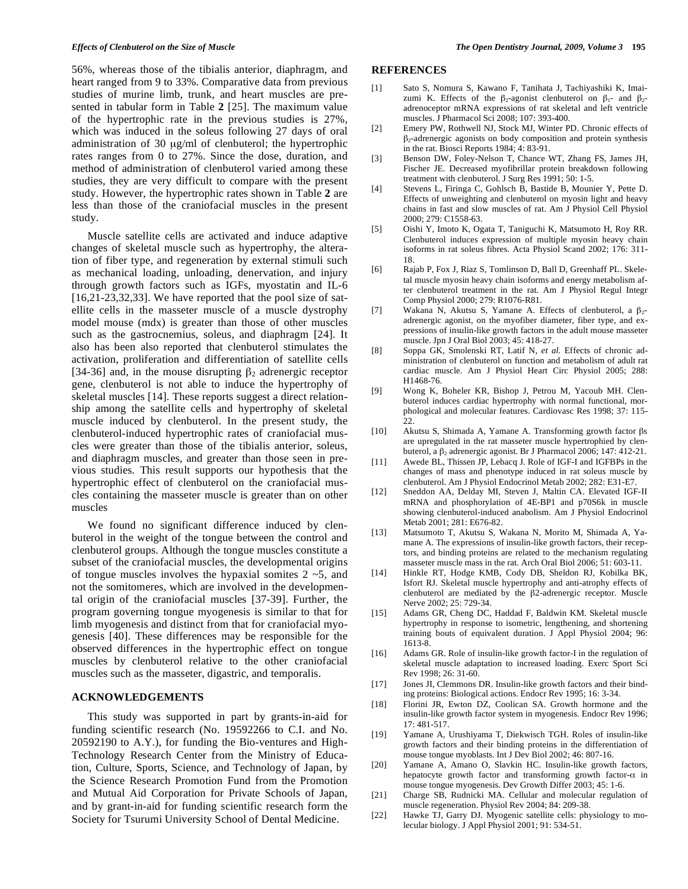56%, whereas those of the tibialis anterior, diaphragm, and heart ranged from 9 to 33%. Comparative data from previous studies of murine limb, trunk, and heart muscles are presented in tabular form in Table **2** [25]. The maximum value of the hypertrophic rate in the previous studies is 27%, which was induced in the soleus following 27 days of oral administration of 30 μg/ml of clenbuterol; the hypertrophic rates ranges from 0 to 27%. Since the dose, duration, and method of administration of clenbuterol varied among these studies, they are very difficult to compare with the present study. However, the hypertrophic rates shown in Table **2** are less than those of the craniofacial muscles in the present study.

Muscle satellite cells are activated and induce adaptive changes of skeletal muscle such as hypertrophy, the alteration of fiber type, and regeneration by external stimuli such as mechanical loading, unloading, denervation, and injury through growth factors such as IGFs, myostatin and IL-6  $[16,21-23,32,33]$ . We have reported that the pool size of satellite cells in the masseter muscle of a muscle dystrophy model mouse (mdx) is greater than those of other muscles such as the gastrocnemius, soleus, and diaphragm [24]. It also has been also reported that clenbuterol stimulates the activation, proliferation and differentiation of satellite cells [34-36] and, in the mouse disrupting  $\beta_2$  adrenergic receptor gene, clenbuterol is not able to induce the hypertrophy of skeletal muscles [14]. These reports suggest a direct relationship among the satellite cells and hypertrophy of skeletal muscle induced by clenbuterol. In the present study, the clenbuterol-induced hypertrophic rates of craniofacial muscles were greater than those of the tibialis anterior, soleus, and diaphragm muscles, and greater than those seen in previous studies. This result supports our hypothesis that the hypertrophic effect of clenbuterol on the craniofacial muscles containing the masseter muscle is greater than on other muscles

We found no significant difference induced by clenbuterol in the weight of the tongue between the control and clenbuterol groups. Although the tongue muscles constitute a subset of the craniofacial muscles, the developmental origins of tongue muscles involves the hypaxial somites  $2 \sim 5$ , and not the somitomeres, which are involved in the developmental origin of the craniofacial muscles [37-39]. Further, the program governing tongue myogenesis is similar to that for limb myogenesis and distinct from that for craniofacial myogenesis [40]. These differences may be responsible for the observed differences in the hypertrophic effect on tongue muscles by clenbuterol relative to the other craniofacial muscles such as the masseter, digastric, and temporalis.

# **ACKNOWLEDGEMENTS**

This study was supported in part by grants-in-aid for funding scientific research (No. 19592266 to C.I. and No. 20592190 to A.Y.), for funding the Bio-ventures and High-Technology Research Center from the Ministry of Education, Culture, Sports, Science, and Technology of Japan, by the Science Research Promotion Fund from the Promotion and Mutual Aid Corporation for Private Schools of Japan, and by grant-in-aid for funding scientific research form the Society for Tsurumi University School of Dental Medicine.

#### *Effects of Clenbuterol on the Size of Muscle The Open Dentistry Journal, 2009, Volume 3* **195**

#### **REFERENCES**

- [1] Sato S, Nomura S, Kawano F, Tanihata J, Tachiyashiki K, Imaizumi K. Effects of the  $\beta_2$ -agonist clenbuterol on  $\beta_1$ - and  $\beta_2$ adrenoceptor mRNA expressions of rat skeletal and left ventricle muscles. J Pharmacol Sci 2008; 107: 393-400.
- [2] Emery PW, Rothwell NJ, Stock MJ, Winter PD. Chronic effects of  $\beta_2$ -adrenergic agonists on body composition and protein synthesis in the rat. Biosci Reports 1984; 4: 83-91.
- [3] Benson DW, Foley-Nelson T, Chance WT, Zhang FS, James JH, Fischer JE. Decreased myofibrillar protein breakdown following treatment with clenbuterol. J Surg Res 1991; 50: 1-5.
- [4] Stevens L, Firinga C, Gohlsch B, Bastide B, Mounier Y, Pette D. Effects of unweighting and clenbuterol on myosin light and heavy chains in fast and slow muscles of rat. Am J Physiol Cell Physiol 2000; 279: C1558-63.
- [5] Oishi Y, Imoto K, Ogata T, Taniguchi K, Matsumoto H, Roy RR. Clenbuterol induces expression of multiple myosin heavy chain isoforms in rat soleus fibres. Acta Physiol Scand 2002; 176: 311- 18.
- [6] Rajab P, Fox J, Riaz S, Tomlinson D, Ball D, Greenhaff PL. Skeletal muscle myosin heavy chain isoforms and energy metabolism after clenbuterol treatment in the rat. Am J Physiol Regul Integr Comp Physiol 2000; 279: R1076-R81.
- [7] Wakana N, Akutsu S, Yamane A. Effects of clenbuterol, a  $\beta_2$ adrenergic agonist, on the myofiber diameter, fiber type, and expressions of insulin-like growth factors in the adult mouse masseter muscle. Jpn J Oral Biol 2003; 45: 418-27.
- [8] Soppa GK, Smolenski RT, Latif N, *et al.* Effects of chronic administration of clenbuterol on function and metabolism of adult rat cardiac muscle. Am J Physiol Heart Circ Physiol 2005; 288: H1468-76.
- [9] Wong K, Boheler KR, Bishop J, Petrou M, Yacoub MH. Clenbuterol induces cardiac hypertrophy with normal functional, morphological and molecular features. Cardiovasc Res 1998; 37: 115- 22.
- [10] Akutsu S, Shimada A, Yamane A. Transforming growth factor  $\beta s$ are upregulated in the rat masseter muscle hypertrophied by clenbuterol, a  $\beta_2$  adrenergic agonist. Br J Pharmacol 2006; 147: 412-21.
- [11] Awede BL, Thissen JP, Lebacq J. Role of IGF-I and IGFBPs in the changes of mass and phenotype induced in rat soleus muscle by clenbuterol. Am J Physiol Endocrinol Metab 2002; 282: E31-E7.
- [12] Sneddon AA, Delday MI, Steven J, Maltin CA. Elevated IGF-II mRNA and phosphorylation of 4E-BP1 and p70S6k in muscle showing clenbuterol-induced anabolism. Am J Physiol Endocrinol Metab 2001; 281: E676-82.
- [13] Matsumoto T, Akutsu S, Wakana N, Morito M, Shimada A, Yamane A. The expressions of insulin-like growth factors, their receptors, and binding proteins are related to the mechanism regulating masseter muscle mass in the rat. Arch Oral Biol 2006; 51: 603-11.
- [14] Hinkle RT, Hodge KMB, Cody DB, Sheldon RJ, Kobilka BK, Isfort RJ. Skeletal muscle hypertrophy and anti-atrophy effects of clenbuterol are mediated by the  $\beta$ 2-adrenergic receptor. Muscle Nerve 2002; 25: 729-34.
- [15] Adams GR, Cheng DC, Haddad F, Baldwin KM. Skeletal muscle hypertrophy in response to isometric, lengthening, and shortening training bouts of equivalent duration. J Appl Physiol 2004; 96: 1613-8.
- [16] Adams GR. Role of insulin-like growth factor-I in the regulation of skeletal muscle adaptation to increased loading. Exerc Sport Sci Rev 1998; 26: 31-60.
- [17] Jones JI, Clemmons DR. Insulin-like growth factors and their binding proteins: Biological actions. Endocr Rev 1995; 16: 3-34.
- [18] Florini JR, Ewton DZ, Coolican SA. Growth hormone and the insulin-like growth factor system in myogenesis. Endocr Rev 1996; 17: 481-517.
- [19] Yamane A, Urushiyama T, Diekwisch TGH. Roles of insulin-like growth factors and their binding proteins in the differentiation of mouse tongue myoblasts. Int J Dev Biol 2002; 46: 807-16.
- [20] Yamane A, Amano O, Slavkin HC. Insulin-like growth factors, hepatocyte growth factor and transforming growth factor- $\alpha$  in mouse tongue myogenesis. Dev Growth Differ 2003; 45: 1-6.
- [21] Charge SB, Rudnicki MA. Cellular and molecular regulation of muscle regeneration. Physiol Rev 2004; 84: 209-38.
- [22] Hawke TJ, Garry DJ. Myogenic satellite cells: physiology to molecular biology. J Appl Physiol 2001; 91: 534-51.